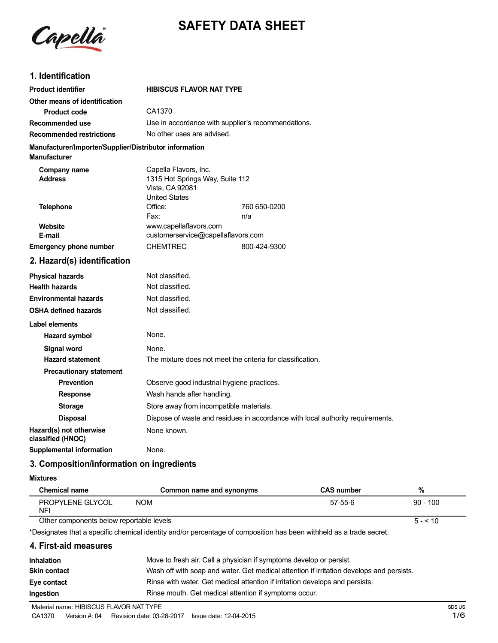

# **SAFETY DATA SHEET**

# **1. Identification**

| <b>Product identifier</b>                                                     | <b>HIBISCUS FLAVOR NAT TYPE</b>                                                                     |              |  |
|-------------------------------------------------------------------------------|-----------------------------------------------------------------------------------------------------|--------------|--|
| Other means of identification                                                 |                                                                                                     |              |  |
| <b>Product code</b>                                                           | CA1370                                                                                              |              |  |
| Recommended use                                                               | Use in accordance with supplier's recommendations.                                                  |              |  |
| <b>Recommended restrictions</b>                                               | No other uses are advised.                                                                          |              |  |
| Manufacturer/Importer/Supplier/Distributor information<br><b>Manufacturer</b> |                                                                                                     |              |  |
| Company name<br><b>Address</b>                                                | Capella Flavors, Inc.<br>1315 Hot Springs Way, Suite 112<br>Vista, CA 92081<br><b>United States</b> |              |  |
| <b>Telephone</b>                                                              | Office:                                                                                             | 760 650-0200 |  |
|                                                                               | Fax:                                                                                                | n/a          |  |
| Website<br>E-mail                                                             | www.capellaflavors.com<br>customerservice@capellaflavors.com                                        |              |  |
| <b>Emergency phone number</b>                                                 | <b>CHEMTREC</b>                                                                                     | 800-424-9300 |  |
|                                                                               |                                                                                                     |              |  |
| 2. Hazard(s) identification                                                   |                                                                                                     |              |  |
| <b>Physical hazards</b>                                                       | Not classified.                                                                                     |              |  |
| <b>Health hazards</b>                                                         | Not classified.                                                                                     |              |  |
| <b>Environmental hazards</b>                                                  | Not classified.                                                                                     |              |  |
| <b>OSHA defined hazards</b>                                                   | Not classified.                                                                                     |              |  |
| Label elements                                                                |                                                                                                     |              |  |
| <b>Hazard symbol</b>                                                          | None.                                                                                               |              |  |
| Signal word                                                                   | None.                                                                                               |              |  |
| <b>Hazard statement</b>                                                       | The mixture does not meet the criteria for classification.                                          |              |  |
| <b>Precautionary statement</b>                                                |                                                                                                     |              |  |
| <b>Prevention</b>                                                             | Observe good industrial hygiene practices.                                                          |              |  |
| <b>Response</b>                                                               | Wash hands after handling.                                                                          |              |  |
| <b>Storage</b>                                                                | Store away from incompatible materials.                                                             |              |  |
| <b>Disposal</b>                                                               | Dispose of waste and residues in accordance with local authority requirements.                      |              |  |
| Hazard(s) not otherwise<br>classified (HNOC)                                  | None known.                                                                                         |              |  |
| <b>Supplemental information</b>                                               | None.                                                                                               |              |  |

# **3. Composition/information on ingredients**

## **Mixtures**

| <b>Chemical name</b>                                                                                                | Common name and synonyms | <b>CAS number</b> | %          |
|---------------------------------------------------------------------------------------------------------------------|--------------------------|-------------------|------------|
| PROPYLENE GLYCOL<br>NF!                                                                                             | <b>NOM</b>               | 57-55-6           | $90 - 100$ |
| Other components below reportable levels                                                                            |                          |                   | $5 - 510$  |
| *Designates that a specific chemical identity and/or percentage of composition has been withheld as a trade secret. |                          |                   |            |

### **4. First-aid measures**

| <b>Inhalation</b><br>Skin contact | Move to fresh air. Call a physician if symptoms develop or persist.<br>Wash off with soap and water. Get medical attention if irritation develops and persists. |
|-----------------------------------|-----------------------------------------------------------------------------------------------------------------------------------------------------------------|
| Eye contact                       | Rinse with water. Get medical attention if irritation develops and persists.                                                                                    |
| Ingestion                         | Rinse mouth. Get medical attention if symptoms occur.                                                                                                           |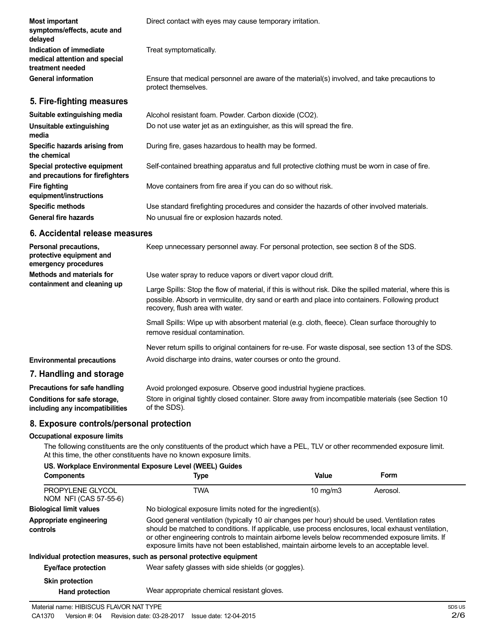| <b>Most important</b><br>symptoms/effects, acute and<br>delayed              | Direct contact with eyes may cause temporary irritation.                                                            |
|------------------------------------------------------------------------------|---------------------------------------------------------------------------------------------------------------------|
| Indication of immediate<br>medical attention and special<br>treatment needed | Treat symptomatically.                                                                                              |
| <b>General information</b>                                                   | Ensure that medical personnel are aware of the material(s) involved, and take precautions to<br>protect themselves. |
| 5. Fire-fighting measures                                                    |                                                                                                                     |
| Suitable extinguishing media                                                 | Alcohol resistant foam. Powder. Carbon dioxide (CO2).                                                               |
| Unsuitable extinguishing<br>media                                            | Do not use water jet as an extinguisher, as this will spread the fire.                                              |
| Specific hazards arising from<br>the chemical                                | During fire, gases hazardous to health may be formed.                                                               |
| Special protective equipment<br>and precautions for firefighters             | Self-contained breathing apparatus and full protective clothing must be worn in case of fire.                       |
| <b>Fire fighting</b><br>equipment/instructions                               | Move containers from fire area if you can do so without risk.                                                       |
| <b>Specific methods</b>                                                      | Use standard firefighting procedures and consider the hazards of other involved materials.                          |
| <b>General fire hazards</b>                                                  | No unusual fire or explosion hazards noted.                                                                         |

## **6. Accidental release measures**

| Personal precautions,<br>protective equipment and<br>emergency procedures | Keep unnecessary personnel away. For personal protection, see section 8 of the SDS.                                                                                                                                                               |
|---------------------------------------------------------------------------|---------------------------------------------------------------------------------------------------------------------------------------------------------------------------------------------------------------------------------------------------|
| Methods and materials for                                                 | Use water spray to reduce vapors or divert vapor cloud drift.                                                                                                                                                                                     |
| containment and cleaning up                                               | Large Spills: Stop the flow of material, if this is without risk. Dike the spilled material, where this is<br>possible. Absorb in vermiculite, dry sand or earth and place into containers. Following product<br>recovery, flush area with water. |
|                                                                           | Small Spills: Wipe up with absorbent material (e.g. cloth, fleece). Clean surface thoroughly to<br>remove residual contamination.                                                                                                                 |
|                                                                           | Never return spills to original containers for re-use. For waste disposal, see section 13 of the SDS.                                                                                                                                             |
| <b>Environmental precautions</b>                                          | Avoid discharge into drains, water courses or onto the ground.                                                                                                                                                                                    |
| 7. Handling and storage                                                   |                                                                                                                                                                                                                                                   |
| Precautions for safe handling                                             | Avoid prolonged exposure. Observe good industrial hygiene practices.                                                                                                                                                                              |
| Conditions for safe storage,<br>including any incompatibilities           | Store in original tightly closed container. Store away from incompatible materials (see Section 10<br>of the SDS).                                                                                                                                |

# **8. Exposure controls/personal protection**

#### **Occupational exposure limits**

The following constituents are the only constituents of the product which have a PEL, TLV or other recommended exposure limit. At this time, the other constituents have no known exposure limits.

| <b>Components</b>                         | US. Workplace Environmental Exposure Level (WEEL) Guides<br>Type                                                                                                                                                                                                                                                                                                                                       | Value             | Form     |  |
|-------------------------------------------|--------------------------------------------------------------------------------------------------------------------------------------------------------------------------------------------------------------------------------------------------------------------------------------------------------------------------------------------------------------------------------------------------------|-------------------|----------|--|
| PROPYLENE GLYCOL<br>NOM NFI (CAS 57-55-6) | TWA                                                                                                                                                                                                                                                                                                                                                                                                    | $10 \text{ mg/m}$ | Aerosol. |  |
| <b>Biological limit values</b>            | No biological exposure limits noted for the ingredient(s).                                                                                                                                                                                                                                                                                                                                             |                   |          |  |
| Appropriate engineering<br>controls       | Good general ventilation (typically 10 air changes per hour) should be used. Ventilation rates<br>should be matched to conditions. If applicable, use process enclosures, local exhaust ventilation,<br>or other engineering controls to maintain airborne levels below recommended exposure limits. If<br>exposure limits have not been established, maintain airborne levels to an acceptable level. |                   |          |  |
|                                           | Individual protection measures, such as personal protective equipment                                                                                                                                                                                                                                                                                                                                  |                   |          |  |
| Eye/face protection                       | Wear safety glasses with side shields (or goggles).                                                                                                                                                                                                                                                                                                                                                    |                   |          |  |
| <b>Skin protection</b>                    |                                                                                                                                                                                                                                                                                                                                                                                                        |                   |          |  |
| <b>Hand protection</b>                    | Wear appropriate chemical resistant gloves.                                                                                                                                                                                                                                                                                                                                                            |                   |          |  |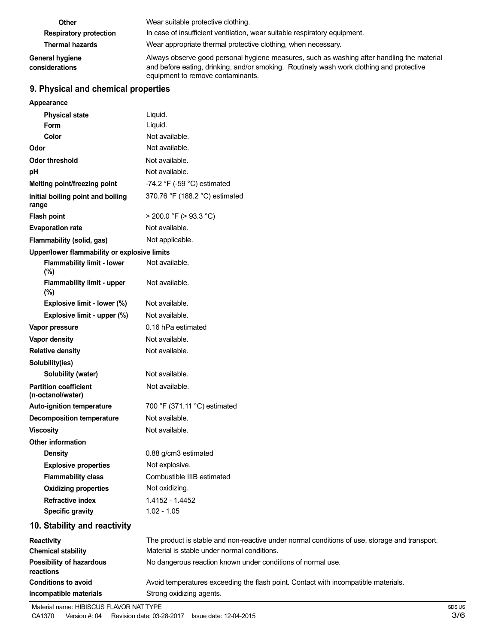| Other                             | Wear suitable protective clothing.                                                                                                                                                                                          |  |
|-----------------------------------|-----------------------------------------------------------------------------------------------------------------------------------------------------------------------------------------------------------------------------|--|
| <b>Respiratory protection</b>     | In case of insufficient ventilation, wear suitable respiratory equipment.                                                                                                                                                   |  |
| <b>Thermal hazards</b>            | Wear appropriate thermal protective clothing, when necessary.                                                                                                                                                               |  |
| General hygiene<br>considerations | Always observe good personal hygiene measures, such as washing after handling the material<br>and before eating, drinking, and/or smoking. Routinely wash work clothing and protective<br>equipment to remove contaminants. |  |

# **9. Physical and chemical properties**

| <b>Appearance</b>                                 |                                                                                               |
|---------------------------------------------------|-----------------------------------------------------------------------------------------------|
| <b>Physical state</b>                             | Liquid.                                                                                       |
| <b>Form</b>                                       | Liquid.                                                                                       |
| Color                                             | Not available.                                                                                |
| Odor                                              | Not available.                                                                                |
| <b>Odor threshold</b>                             | Not available.                                                                                |
| pH                                                | Not available.                                                                                |
| Melting point/freezing point                      | -74.2 $\degree$ F (-59 $\degree$ C) estimated                                                 |
| Initial boiling point and boiling<br>range        | 370.76 °F (188.2 °C) estimated                                                                |
| <b>Flash point</b>                                | $>$ 200.0 °F ( $>$ 93.3 °C)                                                                   |
| <b>Evaporation rate</b>                           | Not available.                                                                                |
| Flammability (solid, gas)                         | Not applicable.                                                                               |
| Upper/lower flammability or explosive limits      |                                                                                               |
| <b>Flammability limit - lower</b><br>(%)          | Not available.                                                                                |
| Flammability limit - upper<br>(%)                 | Not available.                                                                                |
| Explosive limit - lower (%)                       | Not available.                                                                                |
| Explosive limit - upper (%)                       | Not available.                                                                                |
| Vapor pressure                                    | 0.16 hPa estimated                                                                            |
| <b>Vapor density</b>                              | Not available.                                                                                |
| <b>Relative density</b>                           | Not available.                                                                                |
| Solubility(ies)                                   |                                                                                               |
| Solubility (water)                                | Not available.                                                                                |
| <b>Partition coefficient</b><br>(n-octanol/water) | Not available.                                                                                |
| <b>Auto-ignition temperature</b>                  | 700 °F (371.11 °C) estimated                                                                  |
| <b>Decomposition temperature</b>                  | Not available.                                                                                |
| <b>Viscosity</b>                                  | Not available.                                                                                |
| <b>Other information</b>                          |                                                                                               |
| <b>Density</b>                                    | 0.88 g/cm3 estimated                                                                          |
| <b>Explosive properties</b>                       | Not explosive.                                                                                |
| <b>Flammability class</b>                         | Combustible IIIB estimated                                                                    |
| <b>Oxidizing properties</b>                       | Not oxidizing.                                                                                |
| <b>Refractive index</b>                           | 1.4152 - 1.4452                                                                               |
| <b>Specific gravity</b>                           | $1.02 - 1.05$                                                                                 |
| 10. Stability and reactivity                      |                                                                                               |
| Reactivity                                        | The product is stable and non-reactive under normal conditions of use, storage and transport. |
| <b>Chemical stability</b>                         | Material is stable under normal conditions.                                                   |
| <b>Possibility of hazardous</b><br>reactions      | No dangerous reaction known under conditions of normal use.                                   |
| <b>Conditions to avoid</b>                        | Avoid temperatures exceeding the flash point. Contact with incompatible materials.            |
| Incompatible materials                            | Strong oxidizing agents.                                                                      |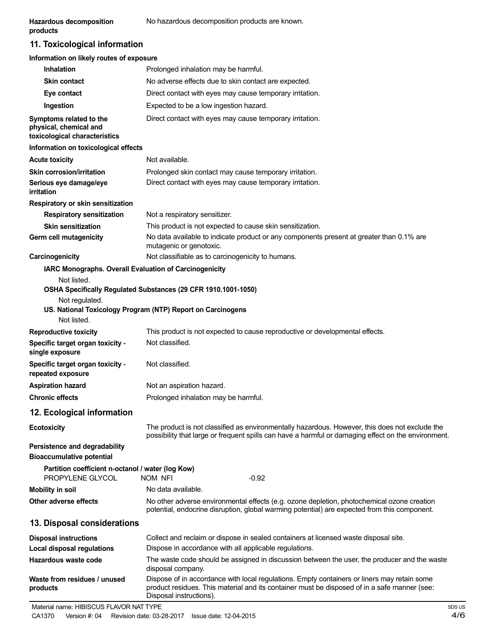**products**

# **11. Toxicological information**

| Information on likely routes of exposure                                           |                                                                                                                                                                                                                        |
|------------------------------------------------------------------------------------|------------------------------------------------------------------------------------------------------------------------------------------------------------------------------------------------------------------------|
| <b>Inhalation</b>                                                                  | Prolonged inhalation may be harmful.                                                                                                                                                                                   |
| <b>Skin contact</b>                                                                | No adverse effects due to skin contact are expected.                                                                                                                                                                   |
| Eye contact                                                                        | Direct contact with eyes may cause temporary irritation.                                                                                                                                                               |
| Ingestion                                                                          | Expected to be a low ingestion hazard.                                                                                                                                                                                 |
| Symptoms related to the<br>physical, chemical and<br>toxicological characteristics | Direct contact with eyes may cause temporary irritation.                                                                                                                                                               |
| Information on toxicological effects                                               |                                                                                                                                                                                                                        |
| <b>Acute toxicity</b>                                                              | Not available.                                                                                                                                                                                                         |
| Skin corrosion/irritation                                                          | Prolonged skin contact may cause temporary irritation.                                                                                                                                                                 |
| Serious eye damage/eye<br>irritation                                               | Direct contact with eyes may cause temporary irritation.                                                                                                                                                               |
| Respiratory or skin sensitization                                                  |                                                                                                                                                                                                                        |
| <b>Respiratory sensitization</b>                                                   | Not a respiratory sensitizer.                                                                                                                                                                                          |
| <b>Skin sensitization</b>                                                          | This product is not expected to cause skin sensitization.                                                                                                                                                              |
| Germ cell mutagenicity                                                             | No data available to indicate product or any components present at greater than 0.1% are<br>mutagenic or genotoxic.                                                                                                    |
| Carcinogenicity                                                                    | Not classifiable as to carcinogenicity to humans.                                                                                                                                                                      |
| IARC Monographs. Overall Evaluation of Carcinogenicity                             |                                                                                                                                                                                                                        |
| Not listed.<br>Not regulated.<br>Not listed.                                       | OSHA Specifically Regulated Substances (29 CFR 1910.1001-1050)<br>US. National Toxicology Program (NTP) Report on Carcinogens                                                                                          |
| <b>Reproductive toxicity</b>                                                       | This product is not expected to cause reproductive or developmental effects.                                                                                                                                           |
| Specific target organ toxicity -<br>single exposure                                | Not classified.                                                                                                                                                                                                        |
| Specific target organ toxicity -<br>repeated exposure                              | Not classified.                                                                                                                                                                                                        |
| <b>Aspiration hazard</b>                                                           | Not an aspiration hazard.                                                                                                                                                                                              |
| <b>Chronic effects</b>                                                             | Prolonged inhalation may be harmful.                                                                                                                                                                                   |
| 12. Ecological information                                                         |                                                                                                                                                                                                                        |
| <b>Ecotoxicity</b>                                                                 | The product is not classified as environmentally hazardous. However, this does not exclude the<br>possibility that large or frequent spills can have a harmful or damaging effect on the environment.                  |
| Persistence and degradability<br><b>Bioaccumulative potential</b>                  |                                                                                                                                                                                                                        |
| Partition coefficient n-octanol / water (log Kow)<br>PROPYLENE GLYCOL              | <b>NOM NFI</b><br>-0.92                                                                                                                                                                                                |
| <b>Mobility in soil</b>                                                            | No data available.                                                                                                                                                                                                     |
| Other adverse effects                                                              | No other adverse environmental effects (e.g. ozone depletion, photochemical ozone creation<br>potential, endocrine disruption, global warming potential) are expected from this component.                             |
| 13. Disposal considerations                                                        |                                                                                                                                                                                                                        |
| <b>Disposal instructions</b>                                                       | Collect and reclaim or dispose in sealed containers at licensed waste disposal site.                                                                                                                                   |
| <b>Local disposal regulations</b>                                                  | Dispose in accordance with all applicable regulations.                                                                                                                                                                 |
| Hazardous waste code                                                               | The waste code should be assigned in discussion between the user, the producer and the waste<br>disposal company.                                                                                                      |
| Waste from residues / unused<br>products                                           | Dispose of in accordance with local regulations. Empty containers or liners may retain some<br>product residues. This material and its container must be disposed of in a safe manner (see:<br>Disposal instructions). |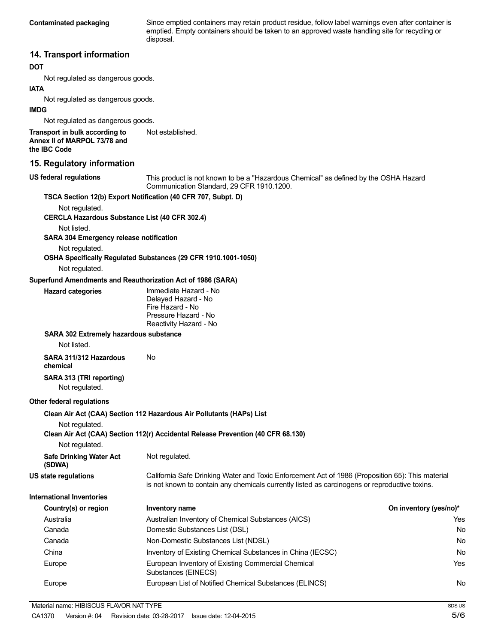**Contaminated packaging** Since emptied containers may retain product residue, follow label warnings even after container is emptied. Empty containers should be taken to an approved waste handling site for recycling or disposal.

## **14. Transport information**

#### **DOT**

Not regulated as dangerous goods.

## **IATA**

Not regulated as dangerous goods.

#### **IMDG**

Not regulated as dangerous goods.

**Transport in bulk according to Annex II of MARPOL 73/78 and the IBC Code** Not established.

#### **15. Regulatory information**

**US federal regulations**

This product is not known to be a "Hazardous Chemical" as defined by the OSHA Hazard Communication Standard, 29 CFR 1910.1200.

#### **TSCA Section 12(b) Export Notification (40 CFR 707, Subpt. D)**

Not regulated.

**CERCLA Hazardous Substance List (40 CFR 302.4)**

Not listed.

**SARA 304 Emergency release notification**

Not regulated.

**OSHA Specifically Regulated Substances (29 CFR 1910.1001-1050)**

Not regulated.

#### **Superfund Amendments and Reauthorization Act of 1986 (SARA)**

| <b>Hazard categories</b> | Immediate Hazard - No  |
|--------------------------|------------------------|
|                          | Delayed Hazard - No    |
|                          | Fire Hazard - No       |
|                          | Pressure Hazard - No   |
|                          | Reactivity Hazard - No |

#### **SARA 302 Extremely hazardous substance**

Not listed.

**SARA 311/312 Hazardous** No **chemical**

#### **SARA 313 (TRI reporting)** Not regulated.

#### **Other federal regulations**

**Clean Air Act (CAA) Section 112 Hazardous Air Pollutants (HAPs) List**

Not regulated.

**Clean Air Act (CAA) Section 112(r) Accidental Release Prevention (40 CFR 68.130)**

Not regulated.

**Safe Drinking Water Act (SDWA)** Not regulated.

**US state regulations** California Safe Drinking Water and Toxic Enforcement Act of 1986 (Proposition 65): This material is not known to contain any chemicals currently listed as carcinogens or reproductive toxins.

**International Inventories**

| Country(s) or region | Inventory name                                                            | On inventory (yes/no)* |
|----------------------|---------------------------------------------------------------------------|------------------------|
| Australia            | Australian Inventory of Chemical Substances (AICS)                        | Yes                    |
| Canada               | Domestic Substances List (DSL)                                            | No                     |
| Canada               | Non-Domestic Substances List (NDSL)                                       | No                     |
| China                | Inventory of Existing Chemical Substances in China (IECSC)                | No                     |
| Europe               | European Inventory of Existing Commercial Chemical<br>Substances (EINECS) | Yes                    |
| Europe               | European List of Notified Chemical Substances (ELINCS)                    | No                     |